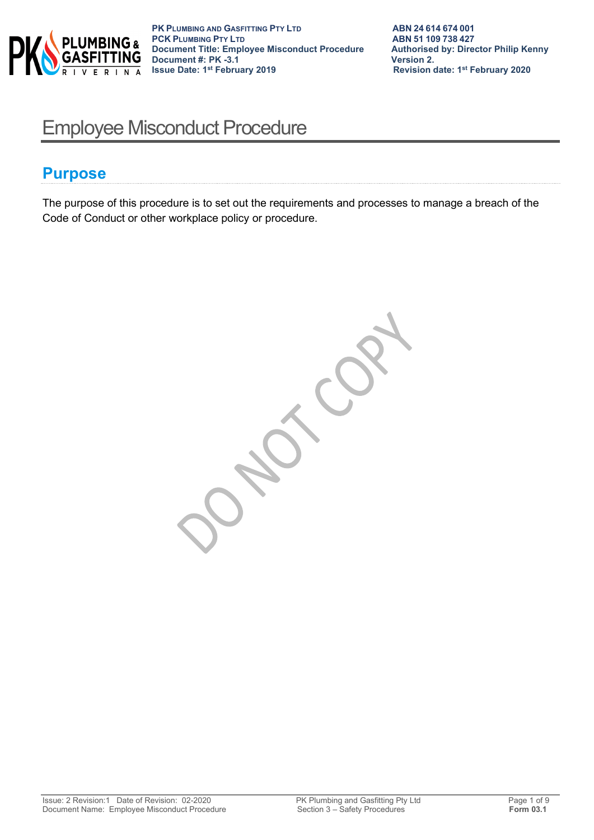

# Employee Misconduct Procedure

### **Purpose**

The purpose of this procedure is to set out the requirements and processes to manage a breach of the Code of Conduct or other workplace policy or procedure.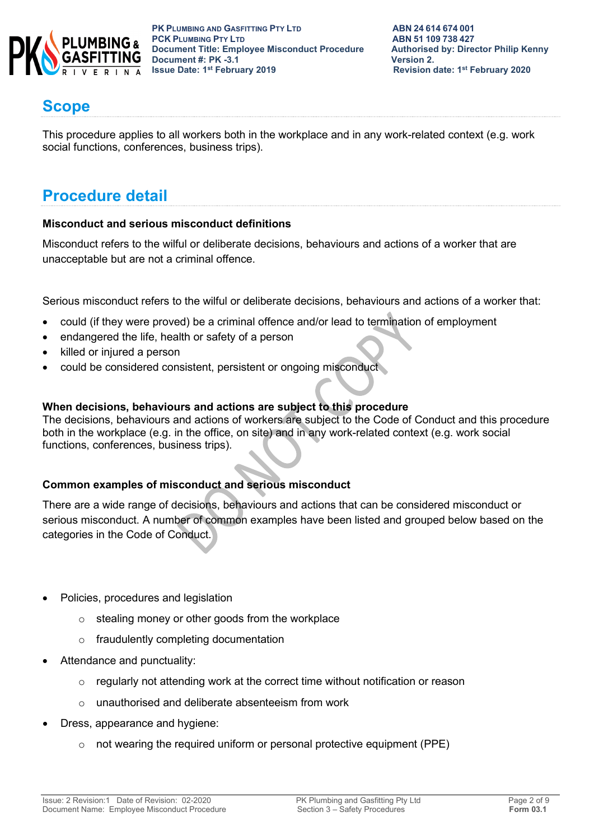

**PK PLUMBING AND GASFITTING PTY LTD ABN 24 614 674 001 PCK PLUMBING PTY LTD**<br> **PCK PLUMBING PTY LTD**<br> **Document Title: Employee Misconduct Procedure** Authorised by: Director Philip Kenny **Document Title: Employee Misconduct Procedure Authorised by: Authorised by: Director Philip Renally Renally Renally Renally Renally Renally Renally Renally Renally Renally Renally Renally Renally Renally Renally Renally R Document #: PK -3.1 Issue Date: 1st February 2019** 

### **Scope**

This procedure applies to all workers both in the workplace and in any work-related context (e.g. work social functions, conferences, business trips).

# **Procedure detail**

#### **Misconduct and serious misconduct definitions**

Misconduct refers to the wilful or deliberate decisions, behaviours and actions of a worker that are unacceptable but are not a criminal offence.

Serious misconduct refers to the wilful or deliberate decisions, behaviours and actions of a worker that:

- could (if they were proved) be a criminal offence and/or lead to termination of employment
- endangered the life, health or safety of a person
- killed or injured a person
- could be considered consistent, persistent or ongoing misconduct

#### **When decisions, behaviours and actions are subject to this procedure**

The decisions, behaviours and actions of workers are subject to the Code of Conduct and this procedure both in the workplace (e.g. in the office, on site) and in any work-related context (e.g. work social functions, conferences, business trips).

#### **Common examples of misconduct and serious misconduct**

There are a wide range of decisions, behaviours and actions that can be considered misconduct or serious misconduct. A number of common examples have been listed and grouped below based on the categories in the Code of Conduct.

- Policies, procedures and legislation
	- o stealing money or other goods from the workplace
	- o fraudulently completing documentation
- Attendance and punctuality:
	- o regularly not attending work at the correct time without notification or reason
	- o unauthorised and deliberate absenteeism from work
- Dress, appearance and hygiene:
	- $\circ$  not wearing the required uniform or personal protective equipment (PPE)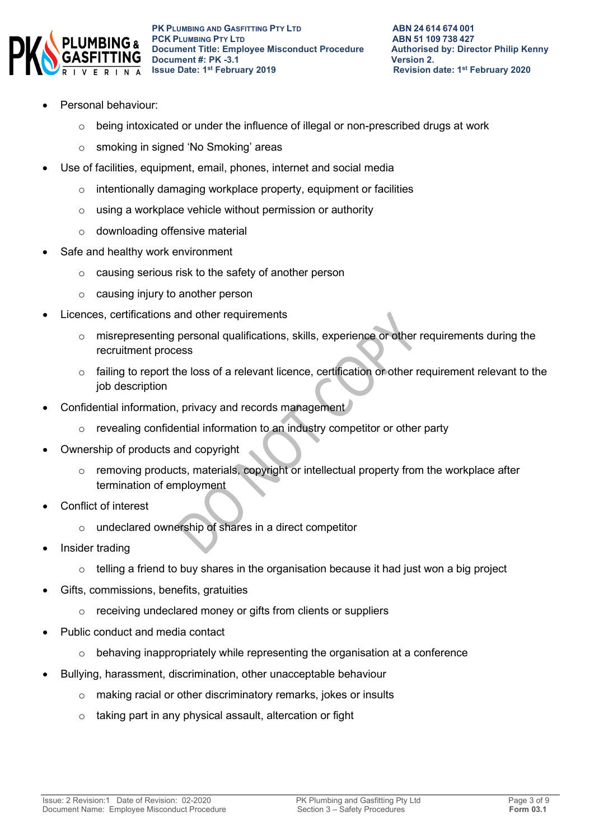

- Personal behaviour:
	- $\circ$  being intoxicated or under the influence of illegal or non-prescribed drugs at work
	- o smoking in signed 'No Smoking' areas
- Use of facilities, equipment, email, phones, internet and social media
	- o intentionally damaging workplace property, equipment or facilities
	- o using a workplace vehicle without permission or authority
	- o downloading offensive material
- Safe and healthy work environment
	- o causing serious risk to the safety of another person
	- $\circ$  causing injury to another person
- Licences, certifications and other requirements
	- $\circ$  misrepresenting personal qualifications, skills, experience or other requirements during the recruitment process
	- o failing to report the loss of a relevant licence, certification or other requirement relevant to the job description
- Confidential information, privacy and records management
	- o revealing confidential information to an industry competitor or other party
- Ownership of products and copyright
	- o removing products, materials, copyright or intellectual property from the workplace after termination of employment
- Conflict of interest
	- o undeclared ownership of shares in a direct competitor
- Insider trading
	- o telling a friend to buy shares in the organisation because it had just won a big project
- Gifts, commissions, benefits, gratuities
	- o receiving undeclared money or gifts from clients or suppliers
- Public conduct and media contact
	- $\circ$  behaving inappropriately while representing the organisation at a conference
- Bullying, harassment, discrimination, other unacceptable behaviour
	- o making racial or other discriminatory remarks, jokes or insults
	- o taking part in any physical assault, altercation or fight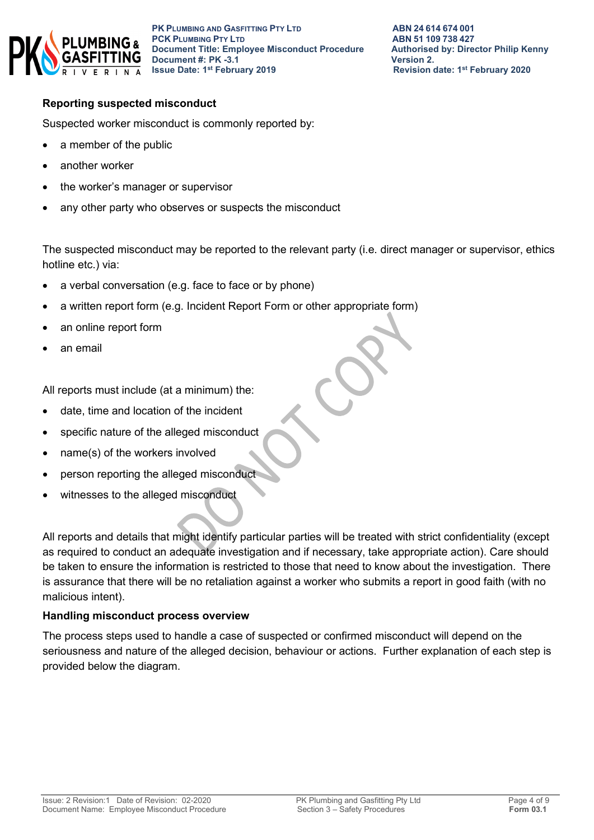

#### **Reporting suspected misconduct**

Suspected worker misconduct is commonly reported by:

- a member of the public
- another worker
- the worker's manager or supervisor
- any other party who observes or suspects the misconduct

The suspected misconduct may be reported to the relevant party (i.e. direct manager or supervisor, ethics hotline etc.) via:

- a verbal conversation (e.g. face to face or by phone)
- a written report form (e.g. Incident Report Form or other appropriate form)
- an online report form
- an email

All reports must include (at a minimum) the:

- date, time and location of the incident
- specific nature of the alleged misconduct
- name(s) of the workers involved
- person reporting the alleged misconduct
- witnesses to the alleged misconduct

All reports and details that might identify particular parties will be treated with strict confidentiality (except as required to conduct an adequate investigation and if necessary, take appropriate action). Care should be taken to ensure the information is restricted to those that need to know about the investigation. There is assurance that there will be no retaliation against a worker who submits a report in good faith (with no malicious intent).

#### **Handling misconduct process overview**

The process steps used to handle a case of suspected or confirmed misconduct will depend on the seriousness and nature of the alleged decision, behaviour or actions. Further explanation of each step is provided below the diagram.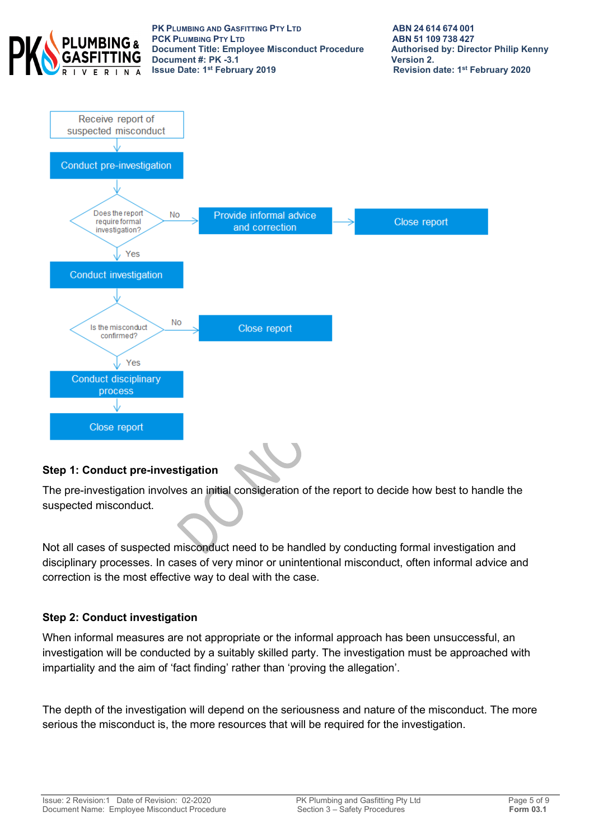

**PK PLUMBING AND GASFITTING PTY LTD ABN 24614674001<br>
<b>PCK PLUMBING PTY LTD ABN 51109738427 PCK PLUMBING PTY LTD**<br> **PCK PLUMBING PTY LTD**<br> **Document Title: Employee Misconduct Procedure** Authorised by: Director Philip Kenny **Document Title: Employee Misconduct Procedure Authorised by: Authorised by: Director Philip Renally Renally Renally Renally Renally Renally Renally Renally Renally Renally Renally Renally Renally Renally Renally Renally R Document #: PK -3.1 ISSUE Date: 1st February 2019** 



### **Step 1: Conduct pre-investigation**

The pre-investigation involves an initial consideration of the report to decide how best to handle the suspected misconduct.

Not all cases of suspected misconduct need to be handled by conducting formal investigation and disciplinary processes. In cases of very minor or unintentional misconduct, often informal advice and correction is the most effective way to deal with the case.

#### **Step 2: Conduct investigation**

When informal measures are not appropriate or the informal approach has been unsuccessful, an investigation will be conducted by a suitably skilled party. The investigation must be approached with impartiality and the aim of 'fact finding' rather than 'proving the allegation'.

The depth of the investigation will depend on the seriousness and nature of the misconduct. The more serious the misconduct is, the more resources that will be required for the investigation.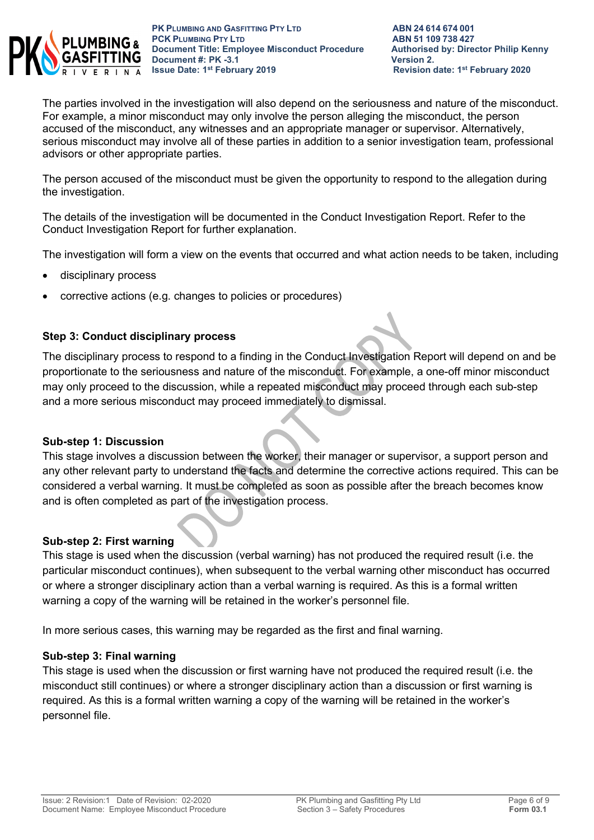

The parties involved in the investigation will also depend on the seriousness and nature of the misconduct. For example, a minor misconduct may only involve the person alleging the misconduct, the person accused of the misconduct, any witnesses and an appropriate manager or supervisor. Alternatively, serious misconduct may involve all of these parties in addition to a senior investigation team, professional advisors or other appropriate parties.

The person accused of the misconduct must be given the opportunity to respond to the allegation during the investigation.

The details of the investigation will be documented in the Conduct Investigation Report. Refer to the Conduct Investigation Report for further explanation.

The investigation will form a view on the events that occurred and what action needs to be taken, including

- disciplinary process
- corrective actions (e.g. changes to policies or procedures)

#### **Step 3: Conduct disciplinary process**

The disciplinary process to respond to a finding in the Conduct Investigation Report will depend on and be proportionate to the seriousness and nature of the misconduct. For example, a one-off minor misconduct may only proceed to the discussion, while a repeated misconduct may proceed through each sub-step and a more serious misconduct may proceed immediately to dismissal.

#### **Sub-step 1: Discussion**

This stage involves a discussion between the worker, their manager or supervisor, a support person and any other relevant party to understand the facts and determine the corrective actions required. This can be considered a verbal warning. It must be completed as soon as possible after the breach becomes know and is often completed as part of the investigation process.

#### **Sub-step 2: First warning**

This stage is used when the discussion (verbal warning) has not produced the required result (i.e. the particular misconduct continues), when subsequent to the verbal warning other misconduct has occurred or where a stronger disciplinary action than a verbal warning is required. As this is a formal written warning a copy of the warning will be retained in the worker's personnel file.

In more serious cases, this warning may be regarded as the first and final warning.

#### **Sub-step 3: Final warning**

This stage is used when the discussion or first warning have not produced the required result (i.e. the misconduct still continues) or where a stronger disciplinary action than a discussion or first warning is required. As this is a formal written warning a copy of the warning will be retained in the worker's personnel file.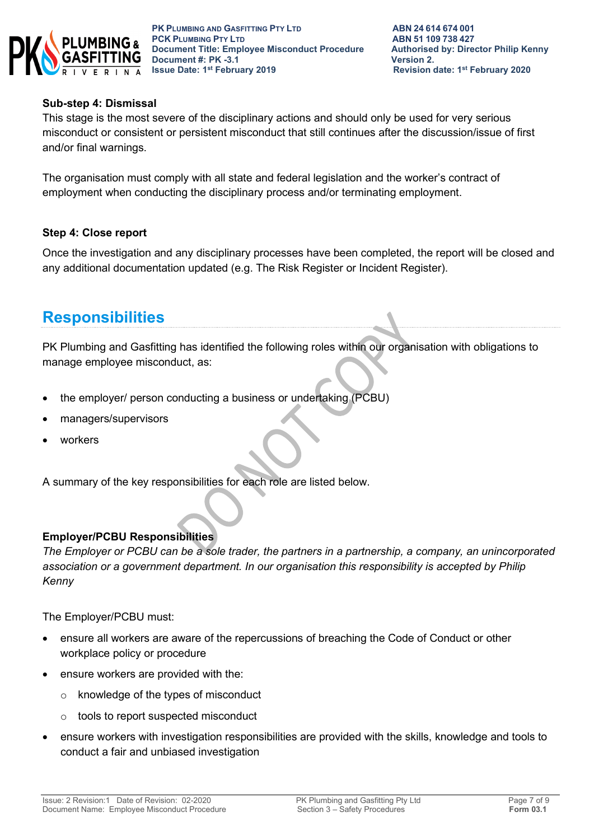

#### **Sub-step 4: Dismissal**

This stage is the most severe of the disciplinary actions and should only be used for very serious misconduct or consistent or persistent misconduct that still continues after the discussion/issue of first and/or final warnings.

The organisation must comply with all state and federal legislation and the worker's contract of employment when conducting the disciplinary process and/or terminating employment.

#### **Step 4: Close report**

Once the investigation and any disciplinary processes have been completed, the report will be closed and any additional documentation updated (e.g. The Risk Register or Incident Register).

# **Responsibilities**

PK Plumbing and Gasfitting has identified the following roles within our organisation with obligations to manage employee misconduct, as:

- the employer/ person conducting a business or undertaking (PCBU)
- managers/supervisors
- workers

A summary of the key responsibilities for each role are listed below.

### **Employer/PCBU Responsibilities**

*The Employer or PCBU can be a sole trader, the partners in a partnership, a company, an unincorporated association or a government department. In our organisation this responsibility is accepted by Philip Kenny*

The Employer/PCBU must:

- ensure all workers are aware of the repercussions of breaching the Code of Conduct or other workplace policy or procedure
- ensure workers are provided with the:
	- o knowledge of the types of misconduct
	- o tools to report suspected misconduct
- ensure workers with investigation responsibilities are provided with the skills, knowledge and tools to conduct a fair and unbiased investigation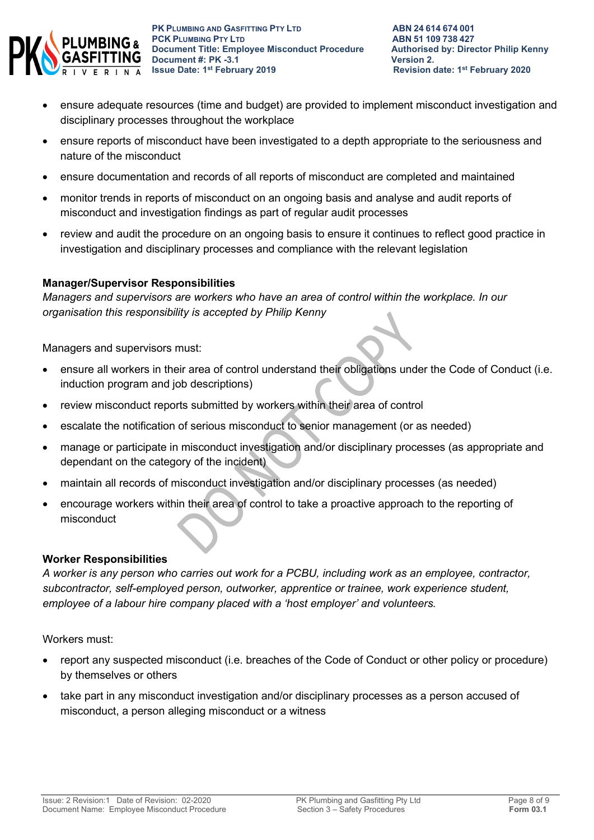

- ensure adequate resources (time and budget) are provided to implement misconduct investigation and disciplinary processes throughout the workplace
- ensure reports of misconduct have been investigated to a depth appropriate to the seriousness and nature of the misconduct
- ensure documentation and records of all reports of misconduct are completed and maintained
- monitor trends in reports of misconduct on an ongoing basis and analyse and audit reports of misconduct and investigation findings as part of regular audit processes
- review and audit the procedure on an ongoing basis to ensure it continues to reflect good practice in investigation and disciplinary processes and compliance with the relevant legislation

### **Manager/Supervisor Responsibilities**

*Managers and supervisors are workers who have an area of control within the workplace. In our organisation this responsibility is accepted by Philip Kenny*

Managers and supervisors must:

- ensure all workers in their area of control understand their obligations under the Code of Conduct (i.e. induction program and job descriptions)
- review misconduct reports submitted by workers within their area of control
- escalate the notification of serious misconduct to senior management (or as needed)
- manage or participate in misconduct investigation and/or disciplinary processes (as appropriate and dependant on the category of the incident)
- maintain all records of misconduct investigation and/or disciplinary processes (as needed)
- encourage workers within their area of control to take a proactive approach to the reporting of misconduct

#### **Worker Responsibilities**

*A worker is any person who carries out work for a PCBU, including work as an employee, contractor, subcontractor, self-employed person, outworker, apprentice or trainee, work experience student, employee of a labour hire company placed with a 'host employer' and volunteers.*

Workers must:

- report any suspected misconduct (i.e. breaches of the Code of Conduct or other policy or procedure) by themselves or others
- take part in any misconduct investigation and/or disciplinary processes as a person accused of misconduct, a person alleging misconduct or a witness